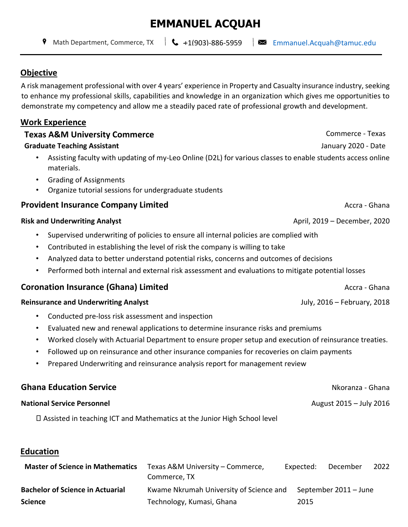# **EMMANUEL ACQUAH**

Math Department, Commerce, TX  $\|\mathbf{C}\|$  +1(903)-886-5959  $\|\mathbf{C}\|$  Emmanuel.Acquah@tamuc.edu

#### **Objective**

A risk management professional with over 4 years' experience in Property and Casualty insurance industry, seeking to enhance my professional skills, capabilities and knowledge in an organization which gives me opportunities to demonstrate my competency and allow me a steadily paced rate of professional growth and development.

#### **Work Experience**

75429

#### **Texas A&M University Commerce Commerce Commerce - Texas**

#### **Graduate Teaching Assistant** January 2020 - Date

- Assisting faculty with updating of my-Leo Online (D2L) for various classes to enable students access online materials.
- Grading of Assignments
- Organize tutorial sessions for undergraduate students

#### **Provident Insurance Company Limited Provident Insurance Company Limited Provident Insurance Company Limited**

#### **Risk and Underwriting Analyst** April, 2019 – December, 2020

- Supervised underwriting of policies to ensure all internal policies are complied with
- Contributed in establishing the level of risk the company is willing to take
- Analyzed data to better understand potential risks, concerns and outcomes of decisions
- Performed both internal and external risk assessment and evaluations to mitigate potential losses

### **Coronation Insurance (Ghana) Limited** Accra - Ghana

#### **Reinsurance and Underwriting Analyst** July, 2016 – February, 2018

- Conducted pre-loss risk assessment and inspection
- Evaluated new and renewal applications to determine insurance risks and premiums
- Worked closely with Actuarial Department to ensure proper setup and execution of reinsurance treaties.
- Followed up on reinsurance and other insurance companies for recoveries on claim payments
- Prepared Underwriting and reinsurance analysis report for management review

## **Ghana Education Service** National Service And Controllering Controllering and Controllering Controllering Controllering and Controllering Controllering Controllering Controllering Controllering Controllering Controllering **National Service Personnel** August 2015 – July 2016

Assisted in teaching ICT and Mathematics at the Junior High School level

### **Education**

| <b>Master of Science in Mathematics</b> | Texas A&M University – Commerce,        | Expected: | December              | 2022 |
|-----------------------------------------|-----------------------------------------|-----------|-----------------------|------|
|                                         | Commerce, TX                            |           |                       |      |
| <b>Bachelor of Science in Actuarial</b> | Kwame Nkrumah University of Science and |           | September 2011 – June |      |
| <b>Science</b>                          | Technology, Kumasi, Ghana               | 2015      |                       |      |